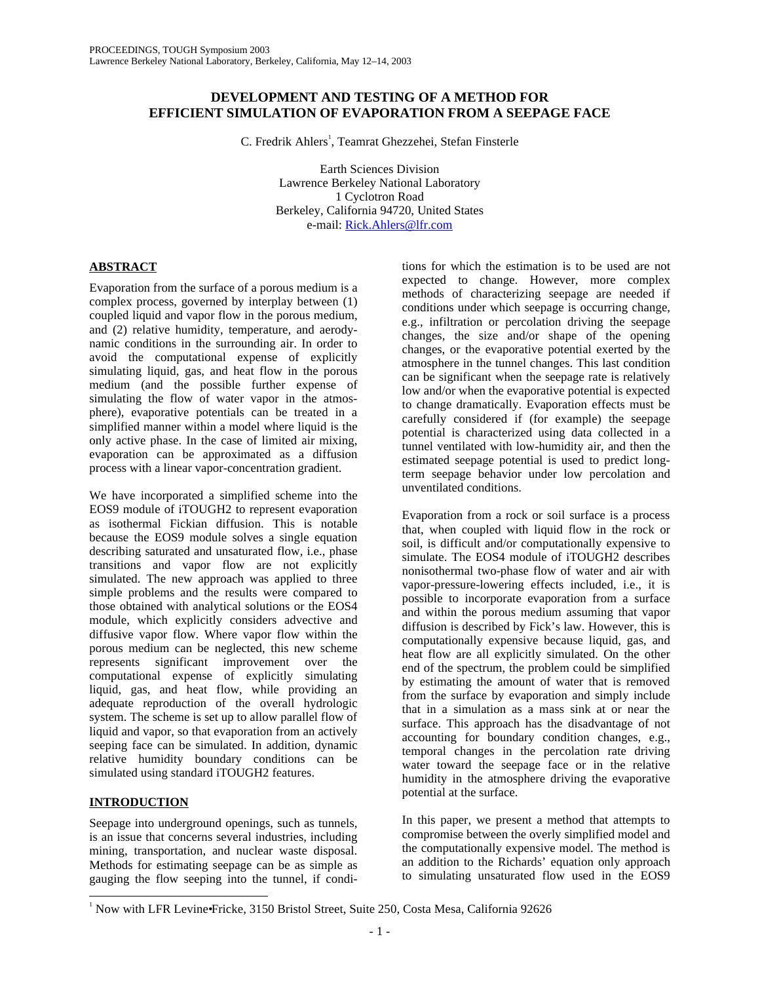# **DEVELOPMENT AND TESTING OF A METHOD FOR EFFICIENT SIMULATION OF EVAPORATION FROM A SEEPAGE FACE**

C. Fredrik Ahlers<sup>1</sup>, Teamrat Ghezzehei, Stefan Finsterle

Earth Sciences Division Lawrence Berkeley National Laboratory 1 Cyclotron Road Berkeley, California 94720, United States e-mail: Rick.Ahlers@lfr.com

## **ABSTRACT**

Evaporation from the surface of a porous medium is a complex process, governed by interplay between (1) coupled liquid and vapor flow in the porous medium, and (2) relative humidity, temperature, and aerodynamic conditions in the surrounding air. In order to avoid the computational expense of explicitly simulating liquid, gas, and heat flow in the porous medium (and the possible further expense of simulating the flow of water vapor in the atmosphere), evaporative potentials can be treated in a simplified manner within a model where liquid is the only active phase. In the case of limited air mixing, evaporation can be approximated as a diffusion process with a linear vapor-concentration gradient.

We have incorporated a simplified scheme into the EOS9 module of iTOUGH2 to represent evaporation as isothermal Fickian diffusion. This is notable because the EOS9 module solves a single equation describing saturated and unsaturated flow, i.e., phase transitions and vapor flow are not explicitly simulated. The new approach was applied to three simple problems and the results were compared to those obtained with analytical solutions or the EOS4 module, which explicitly considers advective and diffusive vapor flow. Where vapor flow within the porous medium can be neglected, this new scheme represents significant improvement over the computational expense of explicitly simulating liquid, gas, and heat flow, while providing an adequate reproduction of the overall hydrologic system. The scheme is set up to allow parallel flow of liquid and vapor, so that evaporation from an actively seeping face can be simulated. In addition, dynamic relative humidity boundary conditions can be simulated using standard iTOUGH2 features.

## **INTRODUCTION**

 $\overline{a}$ 

Seepage into underground openings, such as tunnels, is an issue that concerns several industries, including mining, transportation, and nuclear waste disposal. Methods for estimating seepage can be as simple as gauging the flow seeping into the tunnel, if conditions for which the estimation is to be used are not expected to change. However, more complex methods of characterizing seepage are needed if conditions under which seepage is occurring change, e.g., infiltration or percolation driving the seepage changes, the size and/or shape of the opening changes, or the evaporative potential exerted by the atmosphere in the tunnel changes. This last condition can be significant when the seepage rate is relatively low and/or when the evaporative potential is expected to change dramatically. Evaporation effects must be carefully considered if (for example) the seepage potential is characterized using data collected in a tunnel ventilated with low-humidity air, and then the estimated seepage potential is used to predict longterm seepage behavior under low percolation and unventilated conditions.

Evaporation from a rock or soil surface is a process that, when coupled with liquid flow in the rock or soil, is difficult and/or computationally expensive to simulate. The EOS4 module of iTOUGH2 describes nonisothermal two-phase flow of water and air with vapor-pressure-lowering effects included, i.e., it is possible to incorporate evaporation from a surface and within the porous medium assuming that vapor diffusion is described by Fick's law. However, this is computationally expensive because liquid, gas, and heat flow are all explicitly simulated. On the other end of the spectrum, the problem could be simplified by estimating the amount of water that is removed from the surface by evaporation and simply include that in a simulation as a mass sink at or near the surface. This approach has the disadvantage of not accounting for boundary condition changes, e.g., temporal changes in the percolation rate driving water toward the seepage face or in the relative humidity in the atmosphere driving the evaporative potential at the surface.

In this paper, we present a method that attempts to compromise between the overly simplified model and the computationally expensive model. The method is an addition to the Richards' equation only approach to simulating unsaturated flow used in the EOS9

<sup>&</sup>lt;sup>1</sup> Now with LFR Levine•Fricke, 3150 Bristol Street, Suite 250, Costa Mesa, California 92626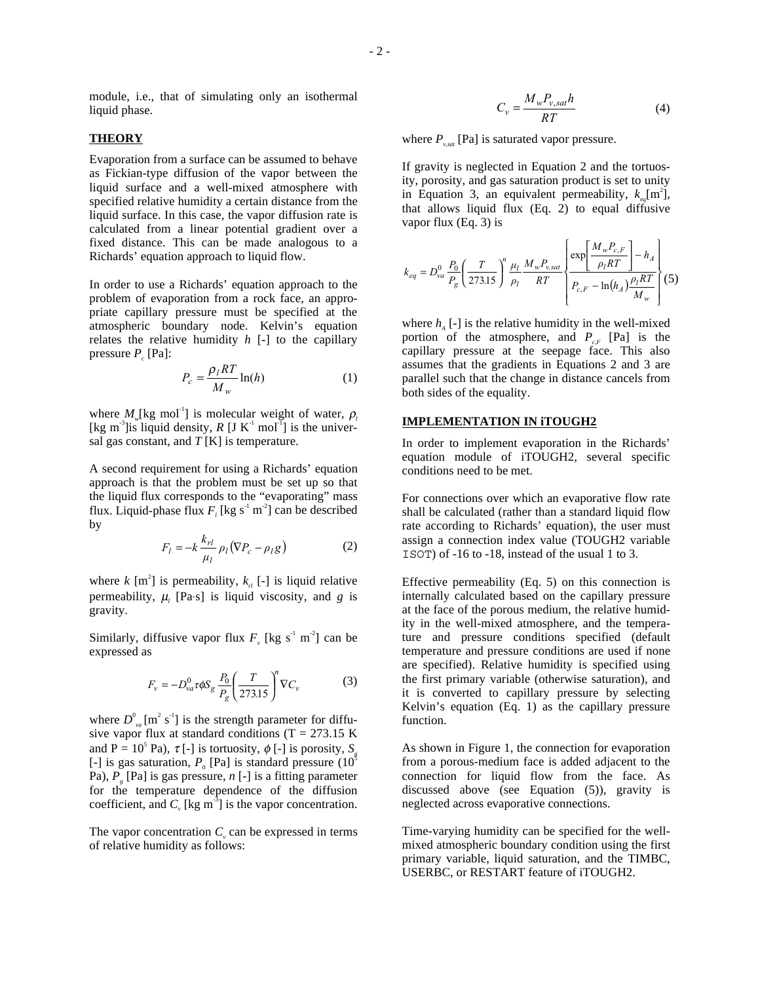module, i.e., that of simulating only an isothermal liquid phase.

## **THEORY**

Evaporation from a surface can be assumed to behave as Fickian-type diffusion of the vapor between the liquid surface and a well-mixed atmosphere with specified relative humidity a certain distance from the liquid surface. In this case, the vapor diffusion rate is calculated from a linear potential gradient over a fixed distance. This can be made analogous to a Richards' equation approach to liquid flow.

In order to use a Richards' equation approach to the problem of evaporation from a rock face, an appropriate capillary pressure must be specified at the atmospheric boundary node. Kelvin's equation relates the relative humidity *h* [-] to the capillary pressure  $P_c$  [Pa]:

$$
P_c = \frac{\rho_l RT}{M_w} \ln(h) \tag{1}
$$

where  $M_{\psi}$ [kg mol<sup>-1</sup>] is molecular weight of water,  $\rho$ <sub>*l*</sub> [kg m<sup>-3</sup>]is liquid density,  $R$  [J K<sup>-1</sup> mol<sup>-1</sup>] is the universal gas constant, and *T* [K] is temperature.

A second requirement for using a Richards' equation approach is that the problem must be set up so that the liquid flux corresponds to the "evaporating" mass flux. Liquid-phase flux  $F_i$  [kg s<sup>-1</sup> m<sup>-2</sup>] can be described by

$$
F_l = -k \frac{k_{rl}}{\mu_l} \rho_l (\nabla P_c - \rho_l g) \tag{2}
$$

where  $k \text{ [m}^2\text{]}$  is permeability,  $k_{n}$  [-] is liquid relative permeability,  $\mu$ <sub>*l*</sub> [Pa⋅s] is liquid viscosity, and *g* is gravity.

Similarly, diffusive vapor flux  $F_{\nu}$  [kg s<sup>-1</sup> m<sup>-2</sup>] can be expressed as

$$
F_{v} = -D_{va}^{0} \tau \phi S_{g} \frac{P_{0}}{P_{g}} \left(\frac{T}{273.15}\right)^{n} \nabla C_{v}
$$
 (3)

where  $D_{va}^0$  [m<sup>2</sup> s<sup>-1</sup>] is the strength parameter for diffusive vapor flux at standard conditions  $(T = 273.15 \text{ K})$ and P =  $10^5$  Pa),  $\tau$  [-] is tortuosity,  $\phi$  [-] is porosity,  $S_g$ [-] is gas saturation,  $P_0$  [Pa] is standard pressure (10<sup>5</sup>) Pa), *Pg* [Pa] is gas pressure, *n* [-] is a fitting parameter for the temperature dependence of the diffusion coefficient, and  $C_v$  [kg m<sup>-3</sup>] is the vapor concentration.

The vapor concentration  $C<sub>v</sub>$  can be expressed in terms of relative humidity as follows:

$$
C_v = \frac{M_w P_{v,sat} h}{RT}
$$
 (4)

where  $P_{v, sat}$  [Pa] is saturated vapor pressure.

If gravity is neglected in Equation 2 and the tortuosity, porosity, and gas saturation product is set to unity in Equation 3, an equivalent permeability,  $k_{eq}$ [m<sup>2</sup>], that allows liquid flux (Eq. 2) to equal diffusive vapor flux (Eq. 3) is

$$
k_{eq} = D_{va}^{0} \frac{P_{0}}{P_{g}} \left( \frac{T}{273.15} \right)^{n} \frac{\mu_{l}}{\rho_{l}} \frac{M_{w} P_{v, sat}}{RT} \left\{ \frac{\exp\left[ \frac{M_{w} P_{c,F}}{\rho_{l} RT} \right] - h_{A}}{P_{c,F} - \ln(h_{A}) \frac{\rho_{l} RT}{M_{w}}} \right\} (5)
$$

where  $h_{\lambda}$  [-] is the relative humidity in the well-mixed portion of the atmosphere, and  $P_{c,F}$  [Pa] is the capillary pressure at the seepage face. This also assumes that the gradients in Equations 2 and 3 are parallel such that the change in distance cancels from both sides of the equality.

#### **IMPLEMENTATION IN iTOUGH2**

In order to implement evaporation in the Richards' equation module of iTOUGH2, several specific conditions need to be met.

For connections over which an evaporative flow rate shall be calculated (rather than a standard liquid flow rate according to Richards' equation), the user must assign a connection index value (TOUGH2 variable ISOT) of -16 to -18, instead of the usual 1 to 3.

Effective permeability (Eq. 5) on this connection is internally calculated based on the capillary pressure at the face of the porous medium, the relative humidity in the well-mixed atmosphere, and the temperature and pressure conditions specified (default temperature and pressure conditions are used if none are specified). Relative humidity is specified using the first primary variable (otherwise saturation), and it is converted to capillary pressure by selecting Kelvin's equation (Eq. 1) as the capillary pressure function.

As shown in Figure 1, the connection for evaporation from a porous-medium face is added adjacent to the connection for liquid flow from the face. As discussed above (see Equation (5)), gravity is neglected across evaporative connections.

Time-varying humidity can be specified for the wellmixed atmospheric boundary condition using the first primary variable, liquid saturation, and the TIMBC, USERBC, or RESTART feature of iTOUGH2.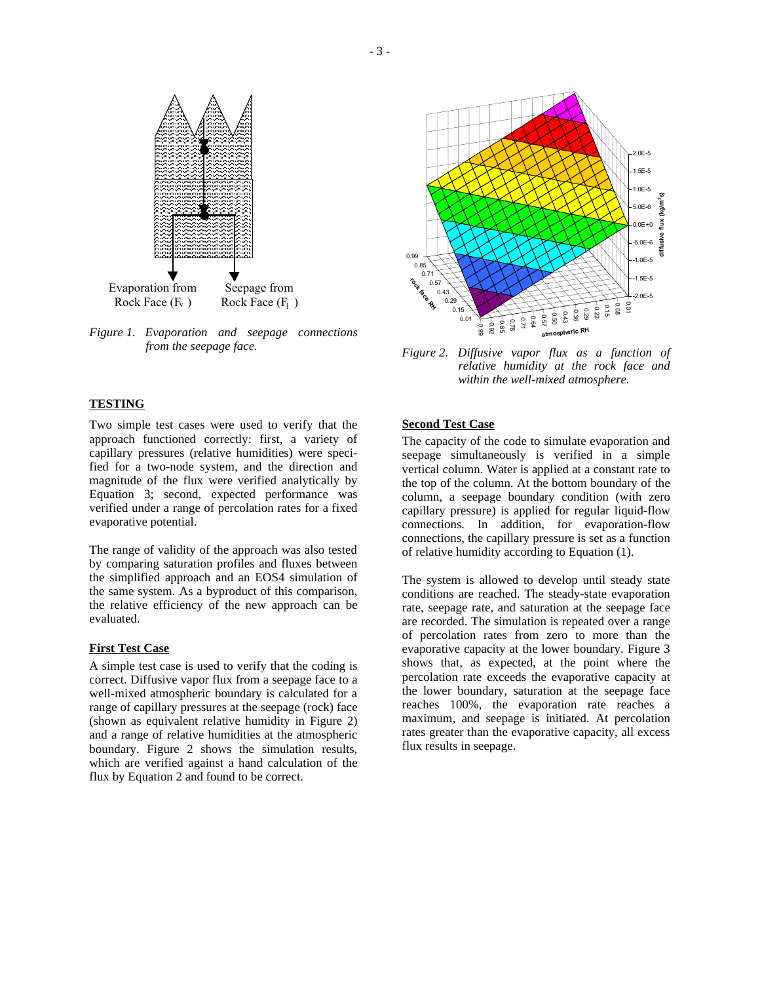

*Figure 1. Evaporation and seepage connections from the seepage face.* 

### **TESTING**

Two simple test cases were used to verify that the approach functioned correctly: first, a variety of capillary pressures (relative humidities) were specified for a two-node system, and the direction and magnitude of the flux were verified analytically by Equation 3; second, expected performance was verified under a range of percolation rates for a fixed evaporative potential.

The range of validity of the approach was also tested by comparing saturation profiles and fluxes between the simplified approach and an EOS4 simulation of the same system. As a byproduct of this comparison, the relative efficiency of the new approach can be evaluated.

## **First Test Case**

A simple test case is used to verify that the coding is correct. Diffusive vapor flux from a seepage face to a well-mixed atmospheric boundary is calculated for a range of capillary pressures at the seepage (rock) face (shown as equivalent relative humidity in Figure 2) and a range of relative humidities at the atmospheric boundary. Figure 2 shows the simulation results, which are verified against a hand calculation of the flux by Equation 2 and found to be correct.



*Figure 2. Diffusive vapor flux as a function of relative humidity at the rock face and within the well-mixed atmosphere.* 

#### **Second Test Case**

The capacity of the code to simulate evaporation and seepage simultaneously is verified in a simple vertical column. Water is applied at a constant rate to the top of the column. At the bottom boundary of the column, a seepage boundary condition (with zero capillary pressure) is applied for regular liquid-flow connections. In addition, for evaporation-flow connections, the capillary pressure is set as a function of relative humidity according to Equation (1).

The system is allowed to develop until steady state conditions are reached. The steady-state evaporation rate, seepage rate, and saturation at the seepage face are recorded. The simulation is repeated over a range of percolation rates from zero to more than the evaporative capacity at the lower boundary. Figure 3 shows that, as expected, at the point where the percolation rate exceeds the evaporative capacity at the lower boundary, saturation at the seepage face reaches 100%, the evaporation rate reaches a maximum, and seepage is initiated. At percolation rates greater than the evaporative capacity, all excess flux results in seepage.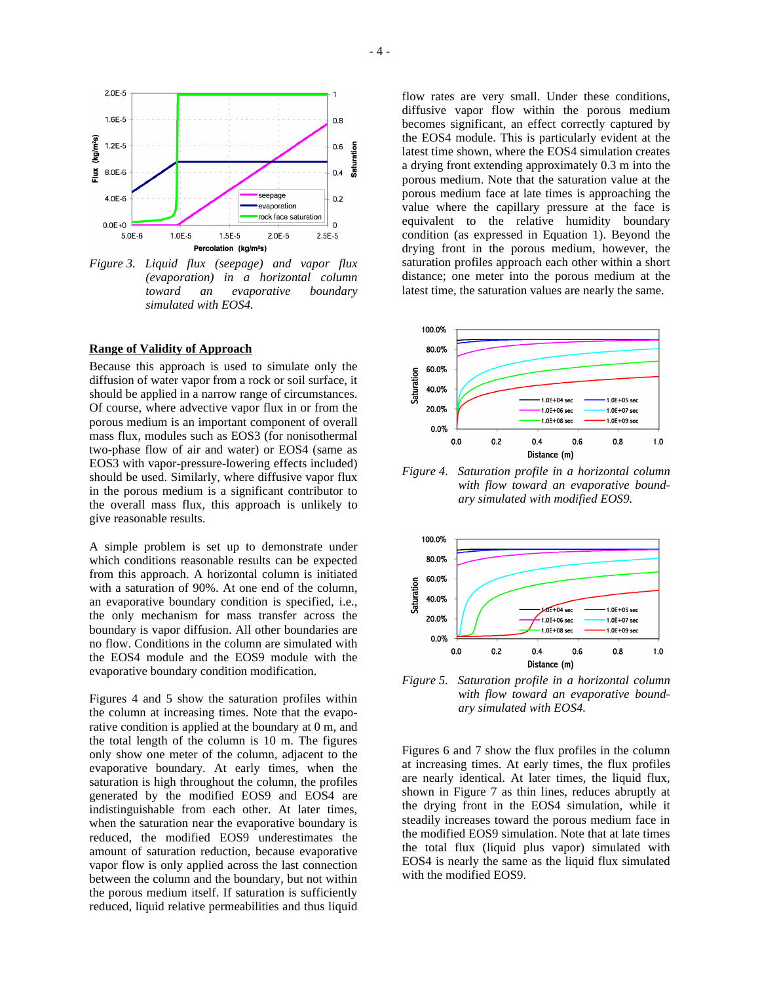

*Figure 3. Liquid flux (seepage) and vapor flux (evaporation) in a horizontal column toward an evaporative boundary simulated with EOS4.* 

#### **Range of Validity of Approach**

Because this approach is used to simulate only the diffusion of water vapor from a rock or soil surface, it should be applied in a narrow range of circumstances. Of course, where advective vapor flux in or from the porous medium is an important component of overall mass flux, modules such as EOS3 (for nonisothermal two-phase flow of air and water) or EOS4 (same as EOS3 with vapor-pressure-lowering effects included) should be used. Similarly, where diffusive vapor flux in the porous medium is a significant contributor to the overall mass flux, this approach is unlikely to give reasonable results.

A simple problem is set up to demonstrate under which conditions reasonable results can be expected from this approach. A horizontal column is initiated with a saturation of 90%. At one end of the column, an evaporative boundary condition is specified, i.e., the only mechanism for mass transfer across the boundary is vapor diffusion. All other boundaries are no flow. Conditions in the column are simulated with the EOS4 module and the EOS9 module with the evaporative boundary condition modification.

Figures 4 and 5 show the saturation profiles within the column at increasing times. Note that the evaporative condition is applied at the boundary at 0 m, and the total length of the column is 10 m. The figures only show one meter of the column, adjacent to the evaporative boundary. At early times, when the saturation is high throughout the column, the profiles generated by the modified EOS9 and EOS4 are indistinguishable from each other. At later times, when the saturation near the evaporative boundary is reduced, the modified EOS9 underestimates the amount of saturation reduction, because evaporative vapor flow is only applied across the last connection between the column and the boundary, but not within the porous medium itself. If saturation is sufficiently reduced, liquid relative permeabilities and thus liquid

flow rates are very small. Under these conditions, diffusive vapor flow within the porous medium becomes significant, an effect correctly captured by the EOS4 module. This is particularly evident at the latest time shown, where the EOS4 simulation creates a drying front extending approximately 0.3 m into the porous medium. Note that the saturation value at the porous medium face at late times is approaching the value where the capillary pressure at the face is equivalent to the relative humidity boundary condition (as expressed in Equation 1). Beyond the drying front in the porous medium, however, the saturation profiles approach each other within a short distance; one meter into the porous medium at the latest time, the saturation values are nearly the same.



*Figure 4. Saturation profile in a horizontal column with flow toward an evaporative boundary simulated with modified EOS9.* 



*Figure 5. Saturation profile in a horizontal column with flow toward an evaporative boundary simulated with EOS4.* 

Figures 6 and 7 show the flux profiles in the column at increasing times. At early times, the flux profiles are nearly identical. At later times, the liquid flux, shown in Figure 7 as thin lines, reduces abruptly at the drying front in the EOS4 simulation, while it steadily increases toward the porous medium face in the modified EOS9 simulation. Note that at late times the total flux (liquid plus vapor) simulated with EOS4 is nearly the same as the liquid flux simulated with the modified EOS9.